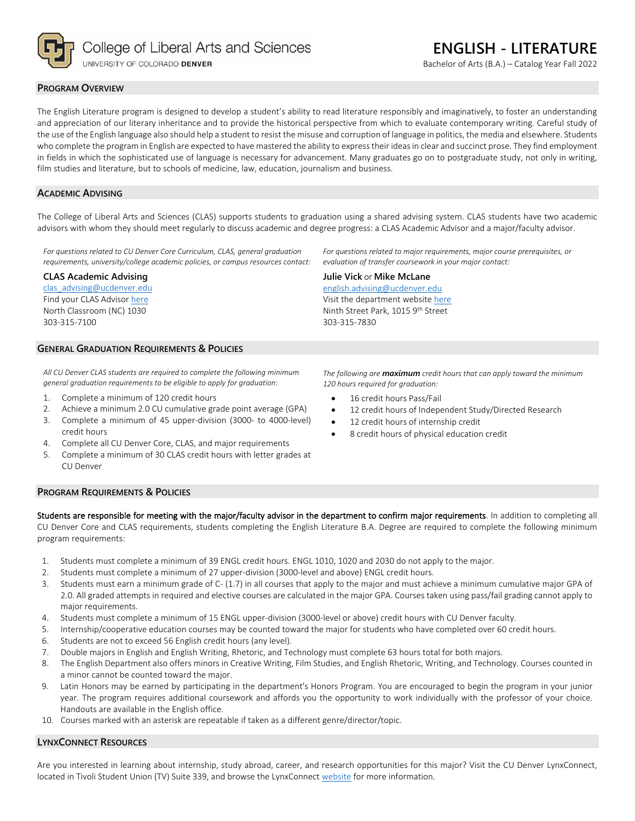

**ENGLISH - LITERATURE**

Bachelor of Arts (B.A.) – Catalog Year Fall 2022

#### **PROGRAM OVERVIEW**

The English Literature program is designed to develop a student's ability to read literature responsibly and imaginatively, to foster an understanding and appreciation of our literary inheritance and to provide the historical perspective from which to evaluate contemporary writing. Careful study of the use of the English language also should help a student to resist the misuse and corruption of language in politics, the media and elsewhere. Students who complete the program in English are expected to have mastered the ability to express their ideas in clear and succinct prose. They find employment in fields in which the sophisticated use of language is necessary for advancement. Many graduates go on to postgraduate study, not only in writing, film studies and literature, but to schools of medicine, law, education, journalism and business.

#### **ACADEMIC ADVISING**

The College of Liberal Arts and Sciences (CLAS) supports students to graduation using a shared advising system. CLAS students have two academic advisors with whom they should meet regularly to discuss academic and degree progress: a CLAS Academic Advisor and a major/faculty advisor.

*For questions related to CU Denver Core Curriculum, CLAS, general graduation requirements, university/college academic policies, or campus resources contact:*

#### **CLAS Academic Advising**

[clas\\_advising@ucdenver.edu](mailto:clas_advising@ucdenver.edu) Find your CLAS Adviso[r here](https://clas.ucdenver.edu/advising/) North Classroom (NC) 1030 303-315-7100

# **GENERAL GRADUATION REQUIREMENTS & POLICIES**

*All CU Denver CLAS students are required to complete the following minimum general graduation requirements to be eligible to apply for graduation:*

- 1. Complete a minimum of 120 credit hours
- 2. Achieve a minimum 2.0 CU cumulative grade point average (GPA)
- 3. Complete a minimum of 45 upper-division (3000- to 4000-level) credit hours
- 4. Complete all CU Denver Core, CLAS, and major requirements
- 5. Complete a minimum of 30 CLAS credit hours with letter grades at CU Denver

*For questions related to major requirements, major course prerequisites, or evaluation of transfer coursework in your major contact:*

**Julie Vick** or **Mike McLane** [english.advising@ucdenver.edu](mailto:english.advising@ucdenver.edu) Visit the department websit[e here](https://clas.ucdenver.edu/english/english-literature) Ninth Street Park, 1015 9<sup>th</sup> Street 303-315-7830

*The following are maximum credit hours that can apply toward the minimum 120 hours required for graduation:*

- 16 credit hours Pass/Fail
- 12 credit hours of Independent Study/Directed Research
- 12 credit hours of internship credit
- 8 credit hours of physical education credit

#### **PROGRAM REQUIREMENTS & POLICIES**

Students are responsible for meeting with the major/faculty advisor in the department to confirm major requirements. In addition to completing all CU Denver Core and CLAS requirements, students completing the English Literature B.A. Degree are required to complete the following minimum program requirements:

- 1. Students must complete a minimum of 39 ENGL credit hours. ENGL 1010, 1020 and 2030 do not apply to the major.
- 2. Students must complete a minimum of 27 upper-division (3000-level and above) ENGL credit hours.
- 3. Students must earn a minimum grade of C- (1.7) in all courses that apply to the major and must achieve a minimum cumulative major GPA of 2.0. All graded attempts in required and elective courses are calculated in the major GPA. Courses taken using pass/fail grading cannot apply to major requirements.
- 4. Students must complete a minimum of 15 ENGL upper-division (3000-level or above) credit hours with CU Denver faculty.
- 5. Internship/cooperative education courses may be counted toward the major for students who have completed over 60 credit hours.
- 6. Students are not to exceed 56 English credit hours (any level).
- 7. Double majors in English and English Writing, Rhetoric, and Technology must complete 63 hours total for both majors.
- 8. The English Department also offers minors in Creative Writing, Film Studies, and English Rhetoric, Writing, and Technology. Courses counted in a minor cannot be counted toward the major.
- 9. Latin Honors may be earned by participating in the department's Honors Program. You are encouraged to begin the program in your junior year. The program requires additional coursework and affords you the opportunity to work individually with the professor of your choice. Handouts are available in the English office.
- 10. Courses marked with an asterisk are repeatable if taken as a different genre/director/topic.

## **LYNXCONNECT RESOURCES**

Are you interested in learning about internship, study abroad, career, and research opportunities for this major? Visit the CU Denver LynxConnect, located in Tivoli Student Union (TV) Suite 339, and browse the LynxConnec[t website](http://www.ucdenver.edu/lynxconnect/Pages/default.aspx) for more information.